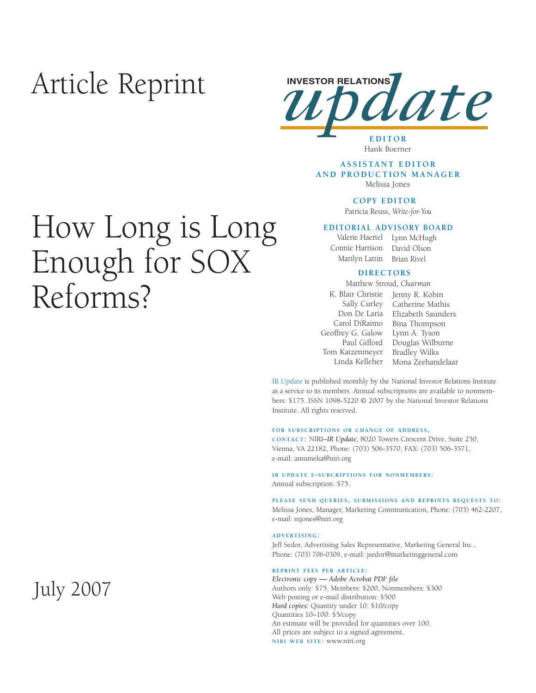## Article Reprint



## Hank Boerner

#### **ASSISTANT EDITOR AND PRODUCTION MANAGER** Melissa Jones

**COPY EDITOR** 

Patricia Reuss, *Write-for-You*

#### **EDITORIAL ADVISORY BOARD**

Connie Harrison David Olson Marilyn Lattin

Valerie Haertel Lynn McHugh Brian Rivel

#### **DIRECTORS**

Matthew Stroud, *Chairman*

Sally Curley Geoffrey G. Galow Lynn A. Tyson Tom Katzenmeyer Bradley Wilks

K. Blair Christie Jenny R. Kobin Don De Laria Elizabeth Saunders Carol DiRaimo Bina Thompson Paul Gifford Douglas Wilburne Linda Kelleher Mona Zeehandelaar Catherine Mathis

IR Update is published monthly by the National Investor Relations Institute as a service to its members. Annual subscriptions are available to nonmembers: \$175. ISSN 1098-5220 © 2007 by the National Investor Relations Institute. All rights reserved.

#### **FOR SUBSCRIPTIONS OR CHANGE OF ADDRESS,**

**CONTACT:** NIRI–*IR Update*, 8020 Towers Crescent Drive, Suite 250, Vienna, VA 22182, Phone: (703) 506-3570, FAX: (703) 506-3571, e-mail: amumeka@niri.org

#### **IR UPDATE E-SUBCRIPTIONS FOR NONMEMBERS:**  Annual subscription: \$75.

**PLEASE SEND QUERIES, SUBMISSIONS AND REPRINTS REQUESTS TO:** Melissa Jones, Manager, Marketing Communication, Phone: (703) 462-2207, e-mail: mjones@niri.org

#### **ADVERTISING:**

Jeff Sedor, Advertising Sales Representative, Marketing General Inc., Phone: (703) 706-0309, e-mail: jsedor@marketinggeneral.com

#### **REPRINT FEES PER ARTICLE:**

*Electronic copy* **—** *Adobe Acrobat PDF file*  Authors only: \$75, Members: \$200, Nonmembers: \$300 Web posting or e-mail distribution: \$500 *Hard copies:* Quantity under 10: \$10/copy Quantities 10–100: \$5/copy An estimate will be provided for quantities over 100. All prices are subject to a signed agreement. **NIRI WEB SITE:** www.niri.org

# How Long is Long Enough for SOX Reforms?

July 2007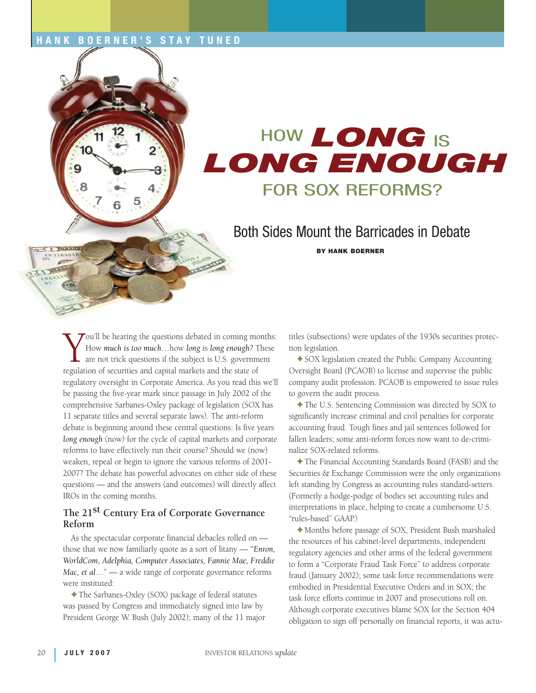### **HANK BOERNER'S STAY TUNED**



Both Sides Mount the Barricades in Debate

 **BY HANK BOERNER**

Tou'll be hearing the questions debated in coming months: How *much is too much*…how *long* is *long enough?* These are not trick questions if the subject is U.S. government regulation of securities and capital markets and the state of regulatory oversight in Corporate America. As you read this we'll be passing the five-year mark since passage in July 2002 of the comprehensive Sarbanes-Oxley package of legislation (SOX has 11 separate titles and several separate laws). The anti-reform debate is beginning around these central questions: Is five years *long enough* (now) for the cycle of capital markets and corporate reforms to have effectively run their course? Should we (now) weaken, repeal or begin to ignore the various reforms of 2001- 2007? The debate has powerful advocates on either side of these questions — and the answers (and outcomes) will directly affect IROs in the coming months.

## **The 21st Century Era of Corporate Governance Reform**

As the spectacular corporate financial debacles rolled on those that we now familiarly quote as a sort of litany — *"Enron, WorldCom, Adelphia, Computer Associates, Fannie Mae, Freddie Mac, et al*…" — a wide range of corporate governance reforms were instituted:

✦The Sarbanes-Oxley (SOX) package of federal statutes was passed by Congress and immediately signed into law by President George W. Bush (July 2002); many of the 11 major titles (subsections) were updates of the 1930s securities protection legislation.

✦SOX legislation created the Public Company Accounting Oversight Board (PCAOB) to license and supervise the public company audit profession. PCAOB is empowered to issue rules to govern the audit process.

✦The U.S. Sentencing Commission was directed by SOX to significantly increase criminal and civil penalties for corporate accounting fraud. Tough fines and jail sentences followed for fallen leaders; some anti-reform forces now want to de-criminalize SOX-related reforms.

✦The Financial Accounting Standards Board (FASB) and the Securities & Exchange Commission were the only organizations left standing by Congress as accounting rules standard-setters. (Formerly a hodge-podge of bodies set accounting rules and interpretations in place, helping to create a cumbersome U.S. "rules-based" GAAP.)

✦ Months before passage of SOX, President Bush marshaled the resources of his cabinet-level departments, independent regulatory agencies and other arms of the federal government to form a "Corporate Fraud Task Force" to address corporate fraud (January 2002); some task force recommendations were embodied in Presidential Executive Orders and in SOX; the task force efforts continue in 2007 and prosecutions roll on. Although corporate executives blame SOX for the Section 404 obligation to sign off personally on financial reports, it was actu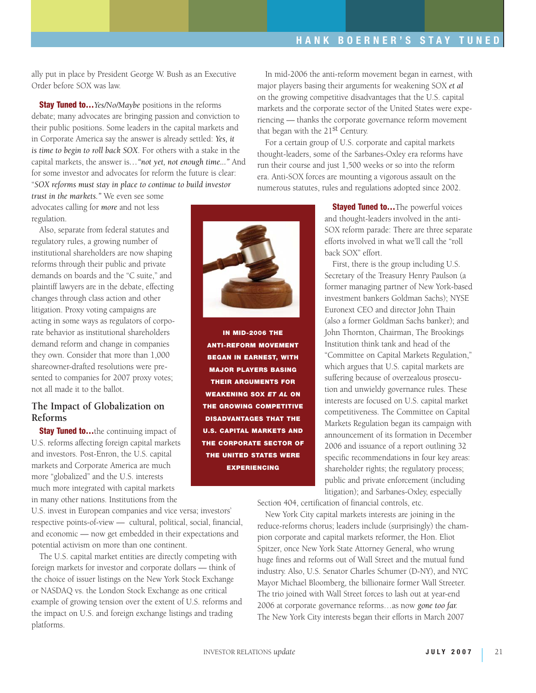ally put in place by President George W. Bush as an Executive Order before SOX was law.

**Stay Tuned to…***Yes/No/Maybe* positions in the reforms debate; many advocates are bringing passion and conviction to their public positions. Some leaders in the capital markets and in Corporate America say the answer is already settled: *Yes, it is time to begin to roll back SOX*. For others with a stake in the capital markets, the answer is*…"not yet, not enough time..."* And for some investor and advocates for reform the future is clear: "*SOX reforms must stay in place to continue to build investor* 

*trust in the markets."* We even see some advocates calling for *more* and not less regulation.

Also, separate from federal statutes and regulatory rules, a growing number of institutional shareholders are now shaping reforms through their public and private demands on boards and the "C suite," and plaintiff lawyers are in the debate, effecting changes through class action and other litigation. Proxy voting campaigns are acting in some ways as regulators of corporate behavior as institutional shareholders demand reform and change in companies they own. Consider that more than 1,000 shareowner-drafted resolutions were presented to companies for 2007 proxy votes; not all made it to the ballot.

### **The Impact of Globalization on Reforms**

**Stay Tuned to...**the continuing impact of U.S. reforms affecting foreign capital markets and investors. Post-Enron, the U.S. capital markets and Corporate America are much more "globalized" and the U.S. interests much more integrated with capital markets in many other nations. Institutions from the

U.S. invest in European companies and vice versa; investors' respective points-of-view — cultural, political, social, financial, and economic — now get embedded in their expectations and potential activism on more than one continent.

The U.S. capital market entities are directly competing with foreign markets for investor and corporate dollars — think of the choice of issuer listings on the New York Stock Exchange or NASDAQ vs. the London Stock Exchange as one critical example of growing tension over the extent of U.S. reforms and the impact on U.S. and foreign exchange listings and trading platforms.

In mid-2006 the anti-reform movement began in earnest, with major players basing their arguments for weakening SOX *et al* on the growing competitive disadvantages that the U.S. capital markets and the corporate sector of the United States were experiencing — thanks the corporate governance reform movement that began with the 21<sup>st</sup> Century.

For a certain group of U.S. corporate and capital markets thought-leaders, some of the Sarbanes-Oxley era reforms have run their course and just 1,500 weeks or so into the reform era. Anti-SOX forces are mounting a vigorous assault on the numerous statutes, rules and regulations adopted since 2002.

> **Stayed Tuned to...**The powerful voices and thought-leaders involved in the anti-SOX reform parade: There are three separate efforts involved in what we'll call the "roll back SOX" effort.

> First, there is the group including U.S. Secretary of the Treasury Henry Paulson (a former managing partner of New York-based investment bankers Goldman Sachs); NYSE Euronext CEO and director John Thain (also a former Goldman Sachs banker); and John Thornton, Chairman, The Brookings Institution think tank and head of the "Committee on Capital Markets Regulation," which argues that U.S. capital markets are suffering because of overzealous prosecution and unwieldy governance rules. These interests are focused on U.S. capital market competitiveness. The Committee on Capital Markets Regulation began its campaign with announcement of its formation in December 2006 and issuance of a report outlining 32 specific recommendations in four key areas: shareholder rights; the regulatory process; public and private enforcement (including litigation); and Sarbanes-Oxley, especially

Section 404, certification of financial controls, etc.

New York City capital markets interests are joining in the reduce-reforms chorus; leaders include (surprisingly) the champion corporate and capital markets reformer, the Hon. Eliot Spitzer, once New York State Attorney General, who wrung huge fines and reforms out of Wall Street and the mutual fund industry. Also, U.S. Senator Charles Schumer (D-NY), and NYC Mayor Michael Bloomberg, the billionaire former Wall Streeter. The trio joined with Wall Street forces to lash out at year-end 2006 at corporate governance reforms…as now *gone too far.* The New York City interests began their efforts in March 2007



**IN MID-2006 THE ANTI-REFORM MOVEMENT BEGAN IN EARNEST, WITH MAJOR PLAYERS BASING THEIR ARGUMENTS FOR WEAKENING SOX** *ET AL* **ON THE GROWING COMPETITIVE DISADVANTAGES THAT THE U.S. CAPITAL MARKETS AND THE CORPORATE SECTOR OF THE UNITED STATES WERE EXPERIENCING**